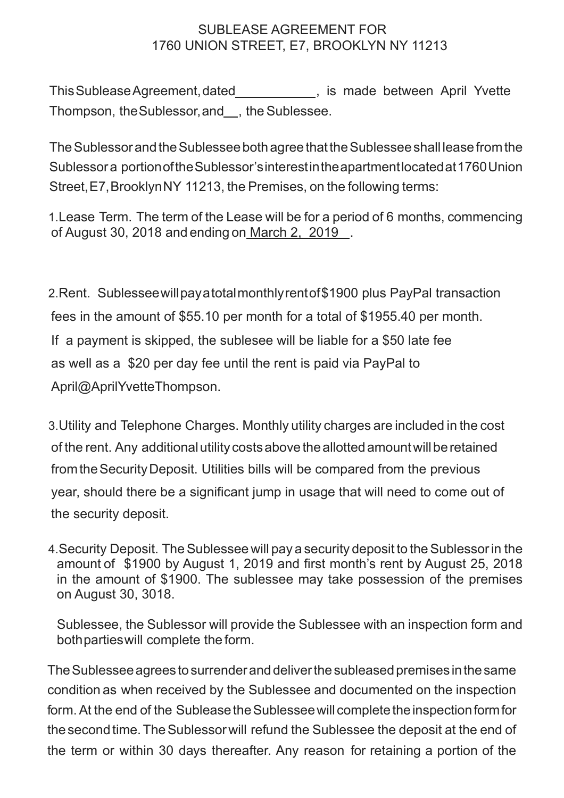## SUBLEASE AGREEMENT FOR 1760 UNION STREET, E7, BROOKLYN NY 11213

This Sublease Agreement, dated **the subset of the set of the Sublease April Yvette** Thompson, the Sublessor, and , the Sublessee.

The Sublessor and the Sublessee both agree that the Sublessee shall lease from the Sublessora portionoftheSublessor'sinterestintheapartmentlocatedat1760Union Street,E7,BrooklynNY 11213, the Premises, on the following terms:

1.Lease Term. The term of the Lease will be for a period of 6 months, commencing of August 30, 2018 and ending on March 2, 2019 .

2.Rent. Sublesseewillpayatotalmonthlyrentof\$1900 plus PayPal transaction fees in the amount of \$55.10 per month for a total of \$1955.40 per month. If a payment is skipped, the sublesee will be liable for a \$50 late fee as well as a \$20 per day fee until the rent is paid via PayPal to April@AprilYvetteThompson.

3.Utility and Telephone Charges. Monthly utility charges are included in the cost of the rent. Any additional utility costs above the allotted amount will be retained fromtheSecurityDeposit. Utilities bills will be compared from the previous year, should there be a significant jump in usage that will need to come out of the security deposit.

4. Security Deposit. The Sublessee will pay a security deposit to the Sublessor in the amount of \$1900 by August 1, 2019 and first month's rent by August 25, 2018 in the amount of \$1900. The sublessee may take possession of the premises on August 30, 3018.

Sublessee, the Sublessor will provide the Sublessee with an inspection form and bothpartieswill complete the form.

The Sublessee agrees to surrender and deliver the subleased premises in the same condition as when received by the Sublessee and documented on the inspection form. At the end of the Sublease the Sublessee will complete the inspection form for the second time. The Sublessor will refund the Sublessee the deposit at the end of the term or within 30 days thereafter. Any reason for retaining a portion of the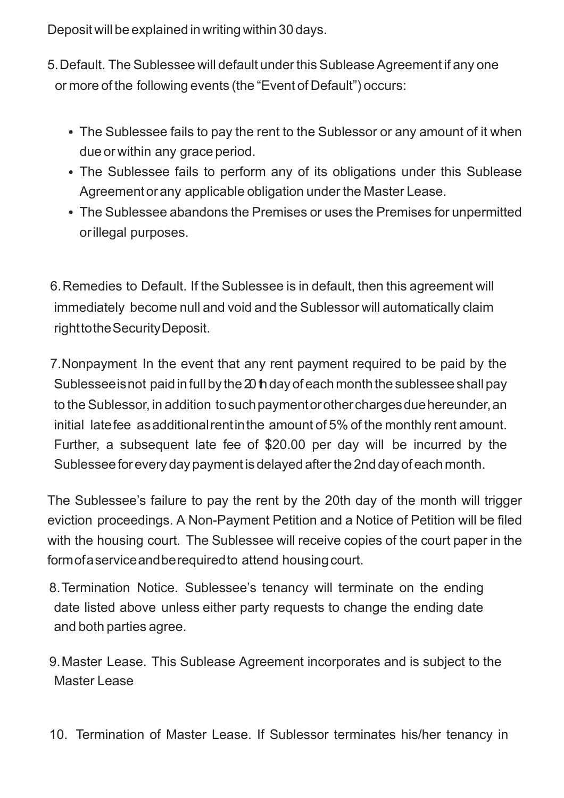Deposit will be explained in writing within 30 days.

- 5.Default. The Sublessee will default under this Sublease Agreement if any one or more of the following events (the "Event of Default") occurs:
	- The Sublessee fails to pay the rent to the Sublessor or any amount of it when due or within any grace period.
	- The Sublessee fails to perform any of its obligations under this Sublease Agreementorany applicable obligation under the Master Lease.
	- The Sublessee abandons the Premises or uses the Premises for unpermitted orillegal purposes.

6.Remedies to Default. If the Sublessee is in default, then this agreement will immediately become null and void and the Sublessor will automatically claim righttotheSecurityDeposit.

7.Nonpayment In the event that any rent payment required to be paid by the Sublessee is not paid in full by the  $20$  h day of each month the sublessee shall pay to the Sublessor, in addition to such payment or other charges due hereunder, an initial latefee asadditionalrentinthe amount of 5% of the monthly rent amount. Further, a subsequent late fee of \$20.00 per day will be incurred by the Sublessee forevery day payment is delayed afterthe 2nd day of each month.

The Sublessee's failure to pay the rent by the 20th day of the month will trigger eviction proceedings. A Non-Payment Petition and a Notice of Petition will be filed with the housing court. The Sublessee will receive copies of the court paper in the formofaservice and be required to attend housing court.

8.Termination Notice. Sublessee's tenancy will terminate on the ending date listed above unless either party requests to change the ending date and both parties agree.

9.Master Lease. This Sublease Agreement incorporates and is subject to the Master Lease

10. Termination of Master Lease. If Sublessor terminates his/her tenancy in